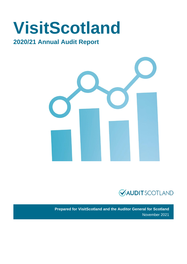# **VisitScotland**

## **2020/21 Annual Audit Report**





**Prepared for VisitScotland and the Auditor General for Scotland** November 2021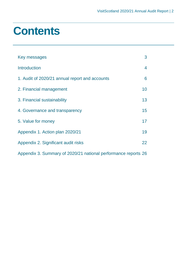## **Contents**

| Key messages                                                   | 3  |
|----------------------------------------------------------------|----|
| <b>Introduction</b>                                            | 4  |
| 1. Audit of 2020/21 annual report and accounts                 | 6  |
| 2. Financial management                                        | 10 |
| 3. Financial sustainability                                    | 13 |
| 4. Governance and transparency                                 | 15 |
| 5. Value for money                                             | 17 |
| Appendix 1. Action plan 2020/21                                | 19 |
| Appendix 2. Significant audit risks                            | 22 |
| Appendix 3. Summary of 2020/21 national performance reports 26 |    |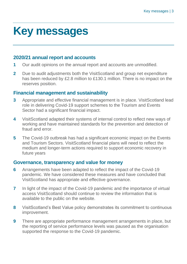## <span id="page-2-0"></span>**Key messages**

### **2020/21 annual report and accounts**

- **1** Our audit opinions on the annual report and accounts are unmodified.
- **2** Due to audit adjustments both the VisitScotland and group net expenditure has been reduced by £2.8 million to £130.1 million. There is no impact on the reserves position.

### **Financial management and sustainability**

- **3** Appropriate and effective financial management is in place. VisitScotland lead role in delivering Covid-19 support schemes to the Tourism and Events Sector had a significant financial impact.
- **4** VisitScotland adapted their systems of internal control to reflect new ways of working and have maintained standards for the prevention and detection of fraud and error.
- **5** The Covid-19 outbreak has had a significant economic impact on the Events and Tourism Sectors. VisitScotland financial plans will need to reflect the medium and longer-term actions required to support economic recovery in future years

#### **Governance, transparency and value for money**

- **6** Arrangements have been adapted to reflect the impact of the Covid-19 pandemic. We have considered these measures and have concluded that VisitScotland has appropriate and effective governance.
- **7** In light of the impact of the Covid-19 pandemic and the importance of virtual access VisitScotland should continue to review the information that is available to the public on the website.
- **8** VisitScotland's Best Value policy demonstrates its commitment to continuous improvement.
- **9** There are appropriate performance management arrangements in place, but the reporting of service performance levels was paused as the organisation supported the response to the Covid-19 pandemic.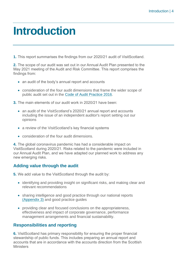## <span id="page-3-0"></span>**Introduction**

**1.** This report summarises the findings from our 2020/21 audit of VisitScotland.

**2.** The scope of our audit was set out in our Annual Audit Plan presented to the May 2021 meeting of the Audit and Risk Committee. This report comprises the findings from:

- an audit of the body's annual report and accounts
- consideration of the four audit dimensions that frame the wider scope of public audit set out in the [Code of Audit Practice 2016.](http://www.audit-scotland.gov.uk/report/code-of-audit-practice-2016)

**3.** The main elements of our audit work in 2020/21 have been:

- an audit of the VisitScotland's 2020/21 annual report and accounts including the issue of an independent auditor's report setting out our opinions
- a review of the VisitScotland's key financial systems
- consideration of the four audit dimensions.

**4.** The global coronavirus pandemic has had a considerable impact on VisitScotland during 2020/21. Risks related to the pandemic were included in our Annual Audit Plan, and we have adapted our planned work to address any new emerging risks.

#### **Adding value through the audit**

**5.** We add value to the VisitScotland through the audit by:

- identifying and providing insight on significant risks, and making clear and relevant recommendations
- sharing intelligence and good practice through our national reports [\(Appendix 3\)](#page-25-0) and good practice guides
- providing clear and focused conclusions on the appropriateness, effectiveness and impact of corporate governance, performance management arrangements and financial sustainability.

#### **Responsibilities and reporting**

**6.** VisitScotland has primary responsibility for ensuring the proper financial stewardship of public funds. This includes preparing an annual report and accounts that are in accordance with the accounts direction from the Scottish **Ministers**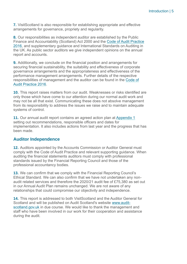**7.** VisitScotland is also responsible for establishing appropriate and effective arrangements for governance, propriety and regularity.

**8.** Our responsibilities as independent auditor are established by the Public Finance and Accountability (Scotland) Act 2000 and the [Code of Audit Practice](https://www.audit-scotland.gov.uk/report/code-of-audit-practice-2016)  [2016,](https://www.audit-scotland.gov.uk/report/code-of-audit-practice-2016) and supplementary guidance and International Standards on Auditing in the UK. As public sector auditors we give independent opinions on the annual report and accounts.

**9.** Additionally, we conclude on the financial position and arrangements for securing financial sustainability, the suitability and effectiveness of corporate governance arrangements and the appropriateness and effectiveness of the performance management arrangements. Further details of the respective responsibilities of management and the auditor can be found in the [Code of](http://auditscotland.spideronline.co.uk/report/code-of-audit-practice-2016)  [Audit Practice 2016.](http://auditscotland.spideronline.co.uk/report/code-of-audit-practice-2016)

**10.** This report raises matters from our audit. Weaknesses or risks identified are only those which have come to our attention during our normal audit work and may not be all that exist. Communicating these does not absolve management from its responsibility to address the issues we raise and to maintain adequate systems of control.

**11.** Our annual audit report contains an agreed action plan at [Appendix 1](#page-18-0) setting out recommendations, responsible officers and dates for implementation. It also includes actions from last year and the progress that has been made.

#### **Auditor Independence**

**12.** Auditors appointed by the Accounts Commission or Auditor General must comply with the Code of Audit Practice and relevant supporting guidance. When auditing the financial statements auditors must comply with professional standards issued by the Financial Reporting Council and those of the professional accountancy bodies.

**13.** We can confirm that we comply with the Financial Reporting Council's Ethical Standard. We can also confirm that we have not undertaken any nonaudit related services and therefore the 2020/21 audit fee of £75,380 as set out in our Annual Audit Plan remains unchanged. We are not aware of any relationships that could compromise our objectivity and independence.

**14.** This report is addressed to both VisitScotland and the Auditor General for Scotland and will be published on Audit Scotland's website [www.audit](http://www.audit-scotland.gov.uk/)[scotland.gov.uk](http://www.audit-scotland.gov.uk/) in due course. We would like to thank the management and staff who have been involved in our work for their cooperation and assistance during the audit.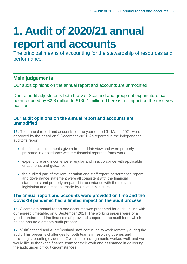## <span id="page-5-0"></span>**1. Audit of 2020/21 annual report and accounts**

The principal means of accounting for the stewardship of resources and performance.

### **Main judgements**

Our audit opinions on the annual report and accounts are unmodified.

Due to audit adjustments both the VisitScotland and group net expenditure has been reduced by £2.8 million to £130.1 million. There is no impact on the reserves position.

#### **Our audit opinions on the annual report and accounts are unmodified**

**15.** The annual report and accounts for the year ended 31 March 2021 were approved by the board on 9 December 2021. As reported in the independent auditor's report:

- the financial statements give a true and fair view and were properly prepared in accordance with the financial reporting framework
- expenditure and income were regular and in accordance with applicable enactments and guidance
- the audited part of the remuneration and staff report, performance report and governance statement were all consistent with the financial statements and properly prepared in accordance with the relevant legislation and directions made by Scottish Ministers.

#### **The annual report and accounts were provided on time and the Covid-19 pandemic had a limited impact on the audit process**

**16.** A complete annual report and accounts was presented for audit, in line with our agreed timetable, on 6 September 2021. The working papers were of a good standard and the finance staff provided support to the audit team which helped ensure a smooth audit process.

**17.** VisitScotland and Audit Scotland staff continued to work remotely during the audit. This presents challenges for both teams in resolving queries and providing supporting evidence. Overall, the arrangements worked well, and we would like to thank the finance team for their work and assistance in delivering the audit under difficult circumstances.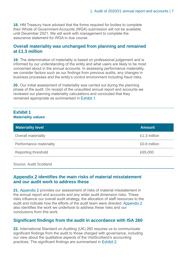**18.** HM Treasury have advised that the forms required for bodies to complete their Whole of Government Accounts (WGA) submission will not be available until December 2021. We will work with management to complete the assurance statement for WGA in due course.

#### **Overall materiality was unchanged from planning and remained at £1.3 million**

**19.** The determination of materiality is based on professional judgement and is informed by our understanding of the entity and what users are likely to be most concerned about in the annual accounts. In assessing performance materiality, we consider factors such as our findings from previous audits, any changes in business processes and the entity's control environment including fraud risks.

**20.** Our initial assessment of materiality was carried out during the planning phase of the audit. On receipt of the unaudited annual report and accounts we reviewed our planning materiality calculations and concluded that they remained appropriate as summarised in [Exhibit](#page-6-0) 1.

#### <span id="page-6-0"></span>**Exhibit 1 Materiality values**

| <b>Materiality level</b>   | <b>Amount</b> |
|----------------------------|---------------|
| <b>Overall materiality</b> | £1.3 million  |
| Performance materiality    | £0.8 million  |
| Reporting threshold        | £65,000       |

Source: Audit Scotland

#### **[Appendix 2](#page-21-0) identifies the main risks of material misstatement and our audit work to address these**

**21.** [Appendix 2](#page-21-0) provides our assessment of risks of material misstatement in the annual report and accounts and any wider audit dimension risks. These risks influence our overall audit strategy, the allocation of staff resources to the audit and indicate how the efforts of the audit team were directed[. Appendix 2](#page-21-0) also identifies the work we undertook to address these risks and our conclusions from this work.

#### **Significant findings from the audit in accordance with ISA 260**

**22.** International Standard on Auditing (UK) 260 requires us to communicate significant findings from the audit to those charged with governance, including our view about the qualitative aspects of the VisitScotland's accounting practices. The significant findings are summarised in [Exhibit](#page-7-0) 2.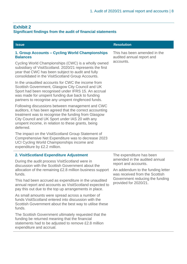#### <span id="page-7-0"></span>**Exhibit 2**

#### **Significant findings from the audit of financial statements**

| <b>Issue</b>                                                                                                                                                                                                                                                                              | <b>Resolution</b>                                                   |  |
|-------------------------------------------------------------------------------------------------------------------------------------------------------------------------------------------------------------------------------------------------------------------------------------------|---------------------------------------------------------------------|--|
| 1. Group Accounts - Cycling World Championships<br><b>Balances</b>                                                                                                                                                                                                                        | This has been amended in the<br>audited annual report and           |  |
| Cycling World Championships (CWC) is a wholly owned<br>subsidiary of VisitScotland. 2020/21 represents the first<br>year that CWC has been subject to audit and fully<br>consolidated in the VisitScotland Group Accounts.                                                                | accounts.                                                           |  |
| In the unaudited accounts for CWC the income from<br>Scottish Government, Glasgow City Council and UK<br>Sport had been recognised under IFRS 15. An accrual<br>was made for unspent funding due back to funding<br>partners to recognise any unspent ringfenced funds.                   |                                                                     |  |
| Following discussions between management and CWC<br>auditors, it has been agreed that the correct accounting<br>treatment was to recognise the funding from Glasgow<br>City Council and UK Sport under IAS 20 with any<br>unspent income, in relation to these grants, being<br>deferred. |                                                                     |  |
| The impact on the VisitScotland Group Statement of<br>Comprehensive Net Expenditure was to decrease 2023<br>UCI Cycling World Championships income and<br>expenditure by £2.2 million.                                                                                                    |                                                                     |  |
| 2. VisitScotland Expenditure Adjustment                                                                                                                                                                                                                                                   | The expenditure has been                                            |  |
| During the audit process VisitScotland were in<br>discussion with the Scottish Government about the                                                                                                                                                                                       | amended in the audited annual<br>report and accounts.               |  |
| allocation of the remaining £2.8 million business support<br>funds.                                                                                                                                                                                                                       | An addendum to the funding letter<br>was received from the Scottish |  |
| This had been accrued as expenditure in the unaudited<br>annual report and accounts as VisitScotland expected to                                                                                                                                                                          | Government reducing the funding<br>provided for 2020/21.            |  |

As small amounts were spread across a number of funds VisitScotland entered into discussion with the Scottish Government about the best way to utilise these funds.

pay this out due to the top up arrangements in place.

The Scottish Government ultimately requested that the funding be returned meaning that the financial statements had to be adjusted to remove £2.8 million expenditure and accrual.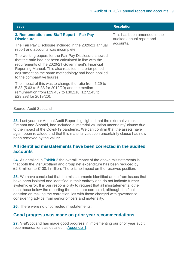| <b>Issue</b>                                                                                                                                                                                                                                                                                                           | <b>Resolution</b>                                         |
|------------------------------------------------------------------------------------------------------------------------------------------------------------------------------------------------------------------------------------------------------------------------------------------------------------------------|-----------------------------------------------------------|
| 3. Remuneration and Staff Report – Fair Pay<br><b>Disclosure</b>                                                                                                                                                                                                                                                       | This has been amended in the<br>audited annual report and |
| The Fair Pay Disclosure included in the 2020/21 annual<br>report and accounts was incomplete.                                                                                                                                                                                                                          | accounts.                                                 |
| The working papers for the Fair Pay Disclosure showed<br>that the ratio had not been calculated in line with the<br>requirements of the 2020/21 Government's Financial<br>Reporting Manual. This also resulted in a prior period<br>adjustment as the same methodology had been applied<br>to the comparative figures. |                                                           |
| The impact of this was to change the ratio from 5.29 to<br>5.38 (5.63 to 5.38 for 2019/20) and the median<br>remuneration from £29,457 to £30,216 (£27,245 to<br>£29,293 for 2019/20).                                                                                                                                 |                                                           |
|                                                                                                                                                                                                                                                                                                                        |                                                           |

Source: Audit Scotland

**23.** Last year our Annual Audit Report highlighted that the external valuer, Graham and Sibbald, had included a 'material valuation uncertainty' clause due to the impact of the Covid-19 pandemic. We can confirm that the assets have again been revalued and that this material valuation uncertainty clause has now been removed by the valuer.

#### **All identified misstatements have been corrected in the audited accounts**

**24.** As detailed in [Exhibit 2](#page-7-0) the overall impact of the above misstatements is that both the VisitScotland and group net expenditure has been reduced by £2.8 million to £130.1 million. There is no impact on the reserves position.

**25.** We have concluded that the misstatements identified arose from issues that have been isolated and identified in their entirety and do not indicate further systemic error. It is our responsibility to request that all misstatements, other than those below the reporting threshold are corrected, although the final decision on making the correction lies with those charged with governance considering advice from senior officers and materiality.

**26.** There were no uncorrected misstatements.

#### **Good progress was made on prior year recommendations**

**27.** VisitScotland has made good progress in implementing our prior year audit recommendations as detailed in [Appendix 1.](#page-18-0)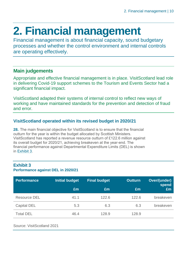## <span id="page-9-0"></span>**2. Financial management**

Financial management is about financial capacity, sound budgetary processes and whether the control environment and internal controls are operating effectively.

### **Main judgements**

Appropriate and effective financial management is in place. VisitScotland lead role in delivering Covid-19 support schemes to the Tourism and Events Sector had a significant financial impact.

VisitScotland adapted their systems of internal control to reflect new ways of working and have maintained standards for the prevention and detection of fraud and error.

### **VisitScotland operated within its revised budget in 2020/21**

<span id="page-9-1"></span>**28.** The main financial objective for VisitScotland is to ensure that the financial outturn for the year is within the budget allocated by Scottish Ministers. VisitScotland has reported a revenue resource outturn of £122.6 million against its overall budget for 2020/21, achieving breakeven at the year-end. The financial performance against Departmental Expenditure Limits (DEL) is shown in [Exhibit](#page-9-1) 3.

#### **Exhibit 3 Performance against DEL in 2020/21**

| <b>Performance</b> | <b>Initial budget</b> | <b>Final budget</b> | <b>Outturn</b> | Over/(under)<br>spend |
|--------------------|-----------------------|---------------------|----------------|-----------------------|
|                    | £m                    | £m                  | £m             | £m                    |
| Resource DEL       | 41.1                  | 122.6               | 122.6          | breakeven             |
| Capital DEL        | 5.3                   | 6.3                 | 6.3            | breakeven             |
| <b>Total DEL</b>   | 46.4                  | 128.9               | 128.9          |                       |

Source: VisitScotland 2021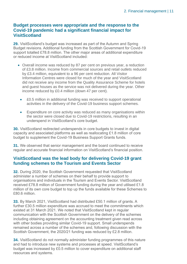#### **Budget processes were appropriate and the response to the Covid-19 pandemic had a significant financial impact for VisitScotland**

**29.** VisitScotland's budget was increased as part of the Autumn and Spring Budget revisions. Additional funding from the Scottish Government for Covid-19 support totalled £78.8 million. The other major areas of additional expenditure or reduced income at VisitScotland included:

- Overall income was reduced by 87 per cent on previous year, a reduction of £3.8 million. Income from commercial sources and retail outlets reduced by £3.4 million, equivalent to a 96 per cent reduction. All Visitor Information Centres were closed for much of the year and VisitScotland did not receive any income from the Quality Assurance Scheme for hotels and guest houses as the service was not delivered during the year. Other income reduced by £0.4 million (down 47 per cent).
	- £0.5 million in additional funding was received to support operational activities in the delivery of the Covid-19 business support schemes.
	- Expenditure on core activity was reduced as many organisations within the sector were closed due to Covid-19 restrictions, resulting in an underspend in VisitScotland's core budget.

**30.** VisitScotland redirected underspends in core budgets to invest in digital capacity and associated platforms as well as reallocating £1.8 million of core budget to supplement the Covid-19 Business Support Grants funds.

**31.** We observed that senior management and the board continued to receive regular and accurate financial information on VisitScotland's financial position.

#### **VisitScotland was the lead body for delivering Covid-19 grant funding schemes to the Tourism and Events Sector**

**32.** During 2020, the Scottish Government requested that VisitScotland administer a number of schemes on their behalf to provide support to organisations and individuals in the Tourism and Events Sector. VisitScotland received £78.8 million of Government funding during the year and utilised £1.8 million of its own core budget to top up the funds available for these Schemes to £80.6 million.

**33.** By March 2021, VisitScotland had distributed £50.1 million of grants. A further £30.5 million expenditure was accrued to meet the commitments which existed at 31 March 2021. We noted that VisitScotland kept in regular communication with the Scottish Government on the delivery of the schemes including obtaining agreement on the accounting treatment given read across with other bodies providing similar Covid-19 support. Small underspends remained across a number of the schemes and, following discussion with the Scottish Government, the 2020/21 funding was reduced by £2.8 million.

**34.** VisitScotland do not normally administer funding programmes of this nature and had to introduce new systems and processes at speed. VisitScotland's budget was increased by £0.5 million to cover expenditure on additional staff resources and systems.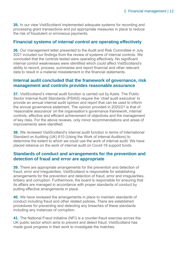**35.** In our view VisitScotland implemented adequate systems for recording and processing grant transactions and put appropriate measures in place to reduce the risk of fraudulent or erroneous payments.

#### **Financial systems of internal control are operating effectively**

**36.** Our management letter presented to the Audit and Risk Committee in July 2021 included our findings from the review of systems of internal controls. We concluded that the controls tested were operating effectively. No significant internal control weaknesses were identified which could affect VisitScotland's ability to record, process, summarise and report financial and other relevant data to result in a material misstatement in the financial statements.

#### **Internal audit concluded that the framework of governance, risk management and controls provides reasonable assurance**

**37.** VisitScotland's internal audit function is carried out by Azets. The Public Sector Internal Audit Standards (PSIAS) require the 'chief audit executive' to provide an annual internal audit opinion and report that can be used to inform the annual governance statement. The opinion provided in 2020/21 is that of 'reasonable assurance' on the organisation's governance framework, internal controls, effective and efficient achievement of objectives and the management of key risks. For the above reviews, only minor recommendations and areas of improvements were identified.

**38.** We reviewed VisitScotland's internal audit function in terms of International Standard on Auditing (UK) 610 (Using the Work of Internal Auditors) to determine the extent to which we could use the work of internal audit. We have placed reliance on the work of internal audit on Covid-19 support funds.

#### **Standards of conduct and arrangements for the prevention and detection of fraud and error are appropriate**

**39.** There are appropriate arrangements for the prevention and detection of fraud, error and irregularities. VisitScotland is responsible for establishing arrangements for the prevention and detection of fraud, error and irregularities, bribery and corruption. Furthermore, the board is responsible for ensuring that its affairs are managed in accordance with proper standards of conduct by putting effective arrangements in place.

**40.** We have reviewed the arrangements in place to maintain standards of conduct including fraud and other related policies. There are established procedures for preventing and detecting any breaches of these standards including any instances of corruption.

**41.** The National Fraud Initiative (NFI) is a counter-fraud exercise across the UK public sector which aims to prevent and detect fraud. VisitScotland has made good progress in their work to investigate the matches.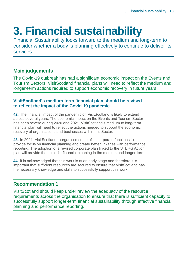## <span id="page-12-0"></span>**3. Financial sustainability**

Financial Sustainability looks forward to the medium and long-term to consider whether a body is planning effectively to continue to deliver its services.

### **Main judgements**

The Covid-19 outbreak has had a significant economic impact on the Events and Tourism Sectors. VisitScotland financial plans will need to reflect the medium and longer-term actions required to support economic recovery in future years.

#### **VisitScotland's medium-term financial plan should be revised to reflect the impact of the Covid 19 pandemic**

**42.** The financial impact of the pandemic on VisitScotland is likely to extend across several years. The economic impact on the Events and Tourism Sector has been severe during 2020 and 2021. VisitScotland's medium to long-term financial plan will need to reflect the actions needed to support the economic recovery of organisations and businesses within this Sector.

**43.** In 2021, VisitScotland reorganised some of its corporate functions to provide focus on financial planning and create better linkages with performance reporting. The adoption of a revised corporate plan linked to the STERG Action plan will provide the basis for financial planning in the medium and longer-term.

**44.** It is acknowledged that this work is at an early stage and therefore it is important that sufficient resources are secured to ensure that VisitScotland has the necessary knowledge and skills to successfully support this work.

### **Recommendation 1**

VisitScotland should keep under review the adequacy of the resource requirements across the organisation to ensure that there is sufficient capacity to successfully support longer-term financial sustainability through effective financial planning and performance reporting.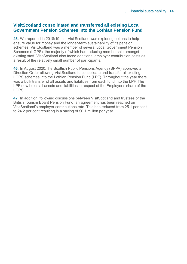#### **VisitScotland consolidated and transferred all existing Local Government Pension Schemes into the Lothian Pension Fund**

**45.** We reported in 2018/19 that VisitScotland was exploring options to help ensure value for money and the longer-term sustainability of its pension schemes. VisitScotland was a member of several Local Government Pension Schemes (LGPS), the majority of which had reducing membership amongst existing staff. VisitScotland also faced additional employer contribution costs as a result of the relatively small number of participants.

**46.** In August 2020, the Scottish Public Pensions Agency (SPPA) approved a Direction Order allowing VisitScotland to consolidate and transfer all existing LGPS schemes into the Lothian Pension Fund (LPF). Throughout the year there was a bulk transfer of all assets and liabilities from each fund into the LPF. The LPF now holds all assets and liabilities in respect of the Employer's share of the LGPS.

**47.** In addition, following discussions between VisitScotland and trustees of the British Tourism Board Pension Fund, an agreement has been reached on VisitScotland's employer contributions rate. This has reduced from 25.1 per cent to 24.2 per cent resulting in a saving of £0.1 million per year.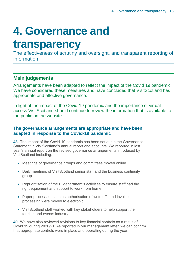## <span id="page-14-0"></span>**4. Governance and**

## **transparency**

The effectiveness of scrutiny and oversight, and transparent reporting of information.

### **Main judgements**

Arrangements have been adapted to reflect the impact of the Covid 19 pandemic. We have considered these measures and have concluded that VisitScotland has appropriate and effective governance.

In light of the impact of the Covid-19 pandemic and the importance of virtual access VisitScotland should continue to review the information that is available to the public on the website.

#### **The governance arrangements are appropriate and have been adapted in response to the Covid-19 pandemic**

**48.** The impact of the Covid-19 pandemic has been set out in the Governance Statement in VisitScotland's annual report and accounts. We reported in last year's annual report on the revised governance arrangements introduced by VisitScotland including:

- Meetings of governance groups and committees moved online
- Daily meetings of VisitScotland senior staff and the business continuity group
- Reprioritisation of the IT department's activities to ensure staff had the right equipment and support to work from home
- Paper processes, such as authorisation of write offs and invoice processing were moved to electronic
- VisitScotland staff worked with key stakeholders to help support the tourism and events industry

**49.** We have also reviewed revisions to key financial controls as a result of Covid 19 during 2020/21. As reported in our management letter, we can confirm that appropriate controls were in place and operating during the year.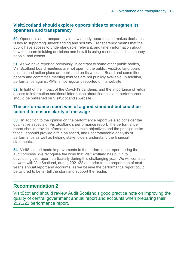#### **VisitScotland should explore opportunities to strengthen its openness and transparency**

**50.** Openness and transparency in how a body operates and makes decisions is key to supporting understanding and scrutiny. Transparency means that the public have access to understandable, relevant, and timely information about how the board is taking decisions and how it is using resources such as money, people, and assets.

**51.** As we have reported previously, in contrast to some other public bodies, VisitScotland board meetings are not open to the public. VisitScotland board minutes and action plans are published on its website. Board and committee papers and committee meeting minutes are not publicly available. In addition, performance against KPIs is not regularly reported on its website.

**52.** In light of the impact of the Covid-19 pandemic and the importance of virtual access to information additional information about finances and performance should be published on VisitScotland's website.

#### **The performance report was of a good standard but could be tailored to ensure clarity of message**

**53.** In addition to the opinion on the performance report we also consider the qualitative aspects of VisitScotland's performance report. The performance report should provide information on its main objectives and the principal risks faced. It should provide a fair, balanced, and understandable analysis of performance as well as helping stakeholders understand the financial statements.

**54.** VisitScotland made improvements to the performance report during the audit process. We recognise the work that VisitScotland has put in to developing this report, particularly during this challenging year. We will continue to work with VisitScotland, during 2021/22 and prior to the preparation of next year's annual report and accounts, as we believe the performance report could be tailored to better tell the story and support the reader.

### **Recommendation 2**

VisitScotland should review Audit Scotland's good practice note on improving the quality of central government annual report and accounts when preparing their 2021/22 performance report.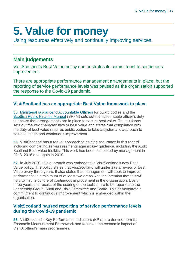## <span id="page-16-0"></span>**5. Value for money**

Using resources effectively and continually improving services.

### **Main judgements**

VisitScotland's Best Value policy demonstrates its commitment to continuous improvement.

There are appropriate performance management arrangements in place, but the reporting of service performance levels was paused as the organisation supported the response to the Covid-19 pandemic.

#### **VisitScotland has an appropriate Best Value framework in place**

**55.** [Ministerial guidance to Accountable Officers](https://www.gov.scot/publications/best-value-public-services-guidance-accountable-officers/) for public bodies and the [Scottish Public Finance Manual](https://www.gov.scot/publications/scottish-public-finance-manual/best-value/best-value/) (SPFM) sets out the accountable officer's duty to ensure that arrangements are in place to secure best value. The guidance sets out the key characteristics of best value and states that compliance with the duty of best value requires public bodies to take a systematic approach to self-evaluation and continuous improvement.

**56.** VisitScotland has a robust approach to gaining assurance in this regard including completing self-assessments against key guidance, including the Audit Scotland Best Value toolkits. This work has been completed by management in 2013, 2016 and again in 2019.

**57.** In July 2020, this approach was embedded in VisitScotland's new Best Value policy. The policy states that VisitScotland will undertake a review of Best Value every three years. It also states that management will seek to improve performance in a minimum of at least two areas with the intention that this will help to instil a culture of continuous improvement in the organisation. Every three years, the results of the scoring of the toolkits are to be reported to the Leadership Group, Audit and Risk Committee and Board. This demonstrate a commitment to continuous improvement which is embedded within the organisation.

#### **VisitScotland paused reporting of service performance levels during the Covid-19 pandemic**

**58.** VisitScotland's Key Performance Indicators (KPIs) are derived from its Economic Measurement Framework and focus on the economic impact of VisitScotland's main programmes.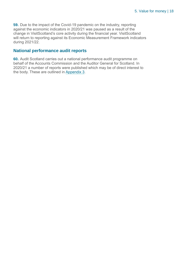**59.** Due to the impact of the Covid-19 pandemic on the industry, reporting against the economic indicators in 2020/21 was paused as a result of the change in VisitScotland's core activity during the financial year. VisitScotland will return to reporting against its Economic Measurement Framework indicators during 2021/22.

#### **National performance audit reports**

**60.** Audit Scotland carries out a national performance audit programme on behalf of the Accounts Commission and the Auditor General for Scotland. In 2020/21 a number of reports were published which may be of direct interest to the body. These are outlined in [Appendix 3.](#page-25-0)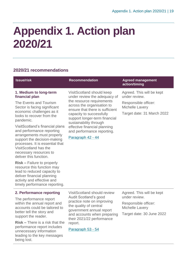## <span id="page-18-0"></span>**Appendix 1. Action plan 2020/21**

### **2020/21 recommendations**

| <b>Issue/risk</b>                                                                                                                                                                                                                                                                                                                                                                                                                                                                                                                                                                                                     | <b>Recommendation</b>                                                                                                                                                                                                                                                                                                             | <b>Agreed management</b><br>action/timing                                                                                  |
|-----------------------------------------------------------------------------------------------------------------------------------------------------------------------------------------------------------------------------------------------------------------------------------------------------------------------------------------------------------------------------------------------------------------------------------------------------------------------------------------------------------------------------------------------------------------------------------------------------------------------|-----------------------------------------------------------------------------------------------------------------------------------------------------------------------------------------------------------------------------------------------------------------------------------------------------------------------------------|----------------------------------------------------------------------------------------------------------------------------|
| 1. Medium to long-term<br>financial plan<br>The Events and Tourism<br>Sector is facing significant<br>economic challenges as it<br>looks to recover from the<br>pandemic.<br>VisitScotland's financial plans<br>and performance reporting<br>arrangements must properly<br>support the decision-making<br>processes. It is essential that<br>VisitScotland has the<br>necessary resources to<br>deliver this function.<br><b>Risk - Failure to properly</b><br>resource this function may<br>lead to reduced capacity to<br>deliver financial planning<br>activity and effective and<br>timely performance reporting. | VisitScotland should keep<br>under review the adequacy of<br>the resource requirements<br>across the organisation to<br>ensure that there is sufficient<br>capacity to successfully<br>support longer-term financial<br>sustainability through<br>effective financial planning<br>and performance reporting.<br>Paragraph 42 - 44 | Agreed. This will be kept<br>under review.<br>Responsible officer:<br><b>Michelle Lavery</b><br>Target date: 31 March 2022 |
| 2. Performance reporting<br>The performance report<br>within the annual report and<br>accounts could be tailored to<br>better tell the story and<br>ويجامع بجيم والمناسب                                                                                                                                                                                                                                                                                                                                                                                                                                              | <b>VisitScotland should review</b><br>Audit Scotland's good<br>practice note on improving<br>the quality of central<br>government annual report<br>and accounts when preparing                                                                                                                                                    | Agreed. This will be kept<br>under review.<br>Responsible officer:<br>Michelle Lavery<br>Target date: 30 June 2022         |

**Risk –** There is a risk that the performance report includes unnecessary information leading to the key messages being lost.

support the reader.

and accounts when preparing their 2021/22 performance report.

Paragraph 53 - 54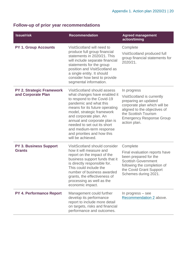### **Follow-up of prior year recommendations**

| <b>Issue/risk</b>                                      | <b>Recommendation</b>                                                                                                                                                                                                                                                                                                                                        | <b>Agreed management</b><br>action/timing                                                                                                                                                                    |
|--------------------------------------------------------|--------------------------------------------------------------------------------------------------------------------------------------------------------------------------------------------------------------------------------------------------------------------------------------------------------------------------------------------------------------|--------------------------------------------------------------------------------------------------------------------------------------------------------------------------------------------------------------|
| <b>PY 1. Group Accounts</b>                            | VisitScotland will need to<br>produce full group financial<br>statements in 2020/21. This<br>will include separate financial<br>statements for the group<br>position and VisitScotland as<br>a single entity. It should<br>consider how best to provide<br>segmental information.                                                                            | Complete<br>VisitScotland produced full<br>group financial statements for<br>2020/21.                                                                                                                        |
| <b>PY 2. Strategic Framework</b><br>and Corporate Plan | VisitScotland should assess<br>what changes have enabled it<br>to respond to the Covid-19<br>pandemic and what this<br>means for its future operating<br>model, strategic framework<br>and corporate plan. An<br>annual and corporate plan is<br>needed to set out its short<br>and medium-term response<br>and priorities and how this<br>will be achieved. | In progress<br>VisitScotland is currently<br>preparing an updated<br>corporate plan which will be<br>aligned to the objectives of<br>the Scottish Tourism<br><b>Emergency Response Group</b><br>action plan. |
| <b>PY 3. Business Support</b><br><b>Grants</b>         | VisitScotland should consider<br>how it will measure and<br>report on the impact of the<br>business support funds that it<br>is directly responsible for.<br>This could include the<br>number of business awarded<br>grants, the effectiveness of<br>processing as well as the<br>economic impact.                                                           | Complete<br>Final evaluation reports have<br>been prepared for the<br><b>Scottish Government</b><br>following the completion of<br>the Covid Grant Support<br>Schemes during 2021.                           |
| <b>PY 4. Performance Report</b>                        | Management could further<br>develop its performance<br>report to include more detail<br>on targets, risks and financial<br>performance and outcomes.                                                                                                                                                                                                         | In progress – see<br>Recommendation 2 above.                                                                                                                                                                 |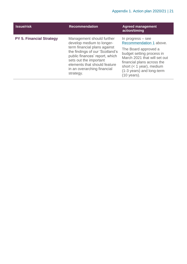| <b>Issue/risk</b>               | <b>Recommendation</b>                                                                                                                                                                                                                                             | <b>Agreed management</b><br>action/timing                                                                                                                                                                                                   |
|---------------------------------|-------------------------------------------------------------------------------------------------------------------------------------------------------------------------------------------------------------------------------------------------------------------|---------------------------------------------------------------------------------------------------------------------------------------------------------------------------------------------------------------------------------------------|
| <b>PY 5. Financial Strategy</b> | Management should further<br>develop medium to longer-<br>term financial plans against<br>the findings of our 'Scotland's<br>public finances' report, which<br>sets out the important<br>elements that should feature<br>in an overarching financial<br>strategy. | In progress $-$ see<br>Recommendation 1 above.<br>The Board approved a<br>budget setting process in<br>March 2021 that will set out<br>financial plans across the<br>short $(< 1$ year), medium<br>(1-3 years) and long-term<br>(10 years). |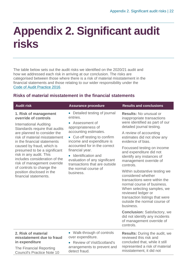## <span id="page-21-0"></span>**Appendix 2. Significant audit risks**

The table below sets out the audit risks we identified on the 2020/21 audit and how we addressed each risk in arriving at our conclusion. The risks are categorised between those where there is a risk of material misstatement in the financial statements and those relating to our wider responsibility under the [Code of Audit Practice 2016.](http://www.audit-scotland.gov.uk/report/code-of-audit-practice-2016)

#### **Risks of material misstatement in the financial statements**

| <b>Audit risk</b>                                                                                                                                                                                                                                                                                                                                                                                                                                         | <b>Assurance procedure</b>                                                                                                                                                                                                                                                                                                                                 | <b>Results and conclusions</b>                                                                                                                                                                                                                                                                                                                                                                                                                                                                                                                                                                                                                                                                                  |
|-----------------------------------------------------------------------------------------------------------------------------------------------------------------------------------------------------------------------------------------------------------------------------------------------------------------------------------------------------------------------------------------------------------------------------------------------------------|------------------------------------------------------------------------------------------------------------------------------------------------------------------------------------------------------------------------------------------------------------------------------------------------------------------------------------------------------------|-----------------------------------------------------------------------------------------------------------------------------------------------------------------------------------------------------------------------------------------------------------------------------------------------------------------------------------------------------------------------------------------------------------------------------------------------------------------------------------------------------------------------------------------------------------------------------------------------------------------------------------------------------------------------------------------------------------------|
| 1. Risk of management<br>override of controls<br><b>International Auditing</b><br>Standards require that audits<br>are planned to consider the<br>risk of material misstatement<br>in the financial statements<br>caused by fraud, which is<br>presumed to be a significant<br>risk in any audit. This<br>includes consideration of the<br>risk of management override<br>of controls to change the<br>position disclosed in the<br>financial statements. | • Detailed testing of journal<br>entries.<br>• Assessment of<br>appropriateness of<br>accounting estimates.<br>• Cut-off testing to confirm<br>income and expenditure is<br>accounted for in the correct<br>financial year.<br>• Identification and<br>evaluation of any significant<br>transactions that are outside<br>the normal course of<br>business. | <b>Results: No unusual or</b><br>inappropriate transactions<br>were identified as part of our<br>detailed journal testing.<br>A review of accounting<br>estimates did not show any<br>evidence of bias.<br>Focussed testing on income<br>and expenditure did not<br>identify any instances of<br>management override of<br>controls.<br>Within substantive testing we<br>considered whether<br>transactions were within the<br>normal course of business.<br>When selecting samples, we<br>reviewed ledger or<br>transaction listings that were<br>outside the normal course of<br>business.<br><b>Conclusion: Satisfactory, we</b><br>did not identify any incidents<br>of management override of<br>controls. |
| 2. Risk of material<br>misstatement due to fraud<br>in expenditure<br>The Financial Reporting<br><b>Council's Practice Note 10</b>                                                                                                                                                                                                                                                                                                                        | • Walk-through of controls<br>over expenditure.<br>• Review of VisitScotland's<br>arrangements to prevent and<br>detect fraud.                                                                                                                                                                                                                             | <b>Results:</b> During the audit, we<br>reviewed this risk and<br>concluded that, while it still<br>represented a risk of material<br>misstatement, it did not                                                                                                                                                                                                                                                                                                                                                                                                                                                                                                                                                  |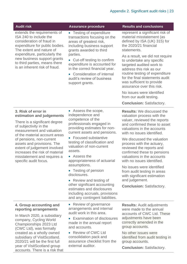| <b>Audit risk</b>                                                                                                                                                                                                                                                                  | <b>Assurance procedure</b>                                                                                                                                                                                                                                                                                                                 | <b>Results and conclusions</b>                                                                                                                                                                                                                     |
|------------------------------------------------------------------------------------------------------------------------------------------------------------------------------------------------------------------------------------------------------------------------------------|--------------------------------------------------------------------------------------------------------------------------------------------------------------------------------------------------------------------------------------------------------------------------------------------------------------------------------------------|----------------------------------------------------------------------------------------------------------------------------------------------------------------------------------------------------------------------------------------------------|
| extends the requirements of<br>ISA 240 to include the<br>consideration of fraud in<br>expenditure for public bodies.<br>The extent and nature of<br>expenditure, particularly the<br>new business support grants<br>to third parties, means there<br>is an inherent risk of fraud. | • Testing of expenditure<br>transactions focusing on the<br>areas of greatest risk,<br>including business support<br>grants awarded to third<br>parties.<br>• Cut-off testing to confirm<br>expenditure is accounted for<br>in the correct financial year.<br>• Consideration of internal<br>audit's review of business<br>support grants. | represent a significant risk of<br>material misstatement (as<br>defined by ISA (UK) 315) for<br>the 2020/21 financial<br>statements.                                                                                                               |
|                                                                                                                                                                                                                                                                                    |                                                                                                                                                                                                                                                                                                                                            | As a result, we did not require<br>to undertake any specific<br>targeted audited work to<br>address this risk as our<br>routine testing of expenditure<br>for the final statements audit<br>was sufficient to provide<br>assurance over this risk. |
|                                                                                                                                                                                                                                                                                    |                                                                                                                                                                                                                                                                                                                                            | No issues were identified<br>from our audit testing.                                                                                                                                                                                               |
|                                                                                                                                                                                                                                                                                    |                                                                                                                                                                                                                                                                                                                                            | <b>Conclusion: Satisfactory.</b>                                                                                                                                                                                                                   |
| 3. Risk of error in<br>estimation and judgements                                                                                                                                                                                                                                   | • Assess the scope,<br>independence and<br>competence of the                                                                                                                                                                                                                                                                               | <b>Results:</b> We discussed the<br>valuation process with the                                                                                                                                                                                     |
| There is a significant degree<br>of subjectivity in the<br>measurement and valuation<br>of the material account areas<br>of pensions, non-current<br>assets and provisions. The<br>extent of judgement involved<br>increases the risk of material                                  | professionals engaged in<br>providing estimates for non-<br>current assets and pensions.                                                                                                                                                                                                                                                   | valuer, reviewed the reports<br>and confirmed these to asset<br>valuations in the accounts<br>with no issues identified.                                                                                                                           |
|                                                                                                                                                                                                                                                                                    | • Focused substantive<br>testing of classification and<br>valuation of non-current<br>assets.                                                                                                                                                                                                                                              | We discussed the valuation<br>process with the actuary,<br>reviewed the reports and<br>confirmed these to pensions                                                                                                                                 |
| misstatement and requires a<br>specific audit focus.                                                                                                                                                                                                                               | • Assess the<br>appropriateness of actuarial<br>assumptions.                                                                                                                                                                                                                                                                               | valuations in the accounts<br>with no issues identified.                                                                                                                                                                                           |
|                                                                                                                                                                                                                                                                                    | • Testing of pension<br>disclosures.                                                                                                                                                                                                                                                                                                       | No issues were identified<br>from audit testing in areas<br>with significant estimation                                                                                                                                                            |
|                                                                                                                                                                                                                                                                                    | • Review and testing of<br>other significant accounting                                                                                                                                                                                                                                                                                    | and judgement.                                                                                                                                                                                                                                     |
|                                                                                                                                                                                                                                                                                    | estimates and disclosures<br>including accruals, provisions<br>and any contingent liabilities.                                                                                                                                                                                                                                             | <b>Conclusion: Satisfactory.</b>                                                                                                                                                                                                                   |
| 4. Group accounting and<br>reporting arrangements<br>In March 2020, a subsidiary<br>company, Cycling World<br>Championships 2023 Ltd<br>(CWC Ltd), was formally<br>created as a wholly owned<br>subsidiary of VisitScotland.<br>2020/21 will be the first full                     | • Review of governance<br>arrangements and internal<br>audit work in this area.                                                                                                                                                                                                                                                            | <b>Results: Audit adjustments</b><br>were made to the annual<br>accounts of CWC Ltd. These                                                                                                                                                         |
|                                                                                                                                                                                                                                                                                    | <b>Examination of disclosures</b><br>made in the annual report<br>and accounts.                                                                                                                                                                                                                                                            | adjustments have been<br>correctly amended in the<br>group accounts.                                                                                                                                                                               |
|                                                                                                                                                                                                                                                                                    | • Review of CWC Ltd<br>consolidation pack and<br>assurance checklist from the                                                                                                                                                                                                                                                              | No other issues were<br>identified from audit testing in<br>group accounts.                                                                                                                                                                        |
| year of VisitScotland group<br>accounts. There is a risk that                                                                                                                                                                                                                      | external auditor.                                                                                                                                                                                                                                                                                                                          | <b>Conclusion: Satisfactory.</b>                                                                                                                                                                                                                   |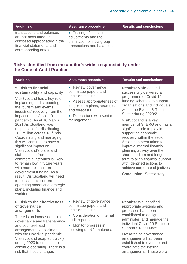| <b>Audit risk</b>                                                                                                                       | <b>Assurance procedure</b>                                                                                    | <b>Results and conclusions</b> |
|-----------------------------------------------------------------------------------------------------------------------------------------|---------------------------------------------------------------------------------------------------------------|--------------------------------|
| transactions and balances<br>are not accounted or<br>disclosed appropriately in the<br>financial statements and<br>corresponding notes. | • Testing of consolidation<br>adjustments and the<br>elimination of intra-group<br>transactions and balances. |                                |

#### **Risks identified from the auditor's wider responsibility under the Code of Audit Practice**

| <b>Audit risk</b>                                                                                                                                                                                                                                                                                                                                                                                                                                                                                                                                                                                                                                                                                                                             | <b>Assurance procedure</b>                                                                                                                                                                     | <b>Results and conclusions</b>                                                                                                                                                                                                                                                                                                                                                                                                                                                                                                                                                                                   |
|-----------------------------------------------------------------------------------------------------------------------------------------------------------------------------------------------------------------------------------------------------------------------------------------------------------------------------------------------------------------------------------------------------------------------------------------------------------------------------------------------------------------------------------------------------------------------------------------------------------------------------------------------------------------------------------------------------------------------------------------------|------------------------------------------------------------------------------------------------------------------------------------------------------------------------------------------------|------------------------------------------------------------------------------------------------------------------------------------------------------------------------------------------------------------------------------------------------------------------------------------------------------------------------------------------------------------------------------------------------------------------------------------------------------------------------------------------------------------------------------------------------------------------------------------------------------------------|
| 5. Risk to financial<br>sustainability and capacity<br>VisitScotland has a key role<br>in planning and supporting<br>the tourism and events<br>industries' recovery from the<br>impact of the Covid-19<br>pandemic. As at 10 March<br>2021 Visit Scotland was<br>responsible for distributing<br>£82 million across 18 funds.<br>Coordinating and managing<br>this will continue to have a<br>significant impact on<br>VisitScotland's plans and<br>staff. Income from<br>commercial activities is likely<br>to remain low in future years,<br>with more reliance on<br>government funding. As a<br>result, VisitScotland will need<br>to reassess its current<br>operating model and strategic<br>plans, including finance and<br>workforce. | • Review governance<br>committee papers and<br>decision making.<br>• Assess appropriateness of<br>longer-term plans, strategies,<br>and forecasts.<br>• Discussions with senior<br>management. | <b>Results: VisitScotland</b><br>successfully delivered a<br>programme of Covid-19<br>funding schemes to support<br>organisations and individuals<br>within the Events & Tourism<br>Sector during 2020/21.<br>VisitScotland is a key<br>member of STERG and has a<br>significant role to play in<br>supporting economic<br>recovery within the sector.<br>Action has been taken to<br>improve internal financial<br>planning activity over the<br>short, medium and longer<br>term to align financial support<br>with identified actions to<br>achieve corporate objectives.<br><b>Conclusion: Satisfactory.</b> |
| <b>6. Risk to the effectiveness</b><br>of governance<br>arrangements<br>There is an increased risk to<br>governance and transparency<br>and counter-fraud<br>arrangements associated<br>with the Covid-19 pandemic.<br>VisitScotland adapted quickly<br>during 2020 to enable it to<br>continue operating. There is a                                                                                                                                                                                                                                                                                                                                                                                                                         | • Review of governance<br>committee papers and<br>decision making.<br>• Consideration of internal<br>audit reports.<br>• Monitor progress in<br>following up NFI matches.                      | <b>Results:</b> We identified<br>appropriate systems and<br>processes had been<br>established to design,<br>administer, and manage the<br>individual Covid-19 Business<br><b>Support Grant Funds.</b><br>Overarching governance<br>arrangements had been<br>established to oversee and<br>coordinate the internal                                                                                                                                                                                                                                                                                                |

risk that these changes

I

arrangements. These were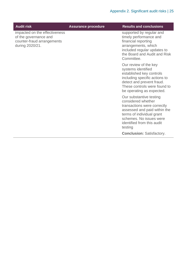| <b>Audit risk</b>                                                                                       | <b>Assurance procedure</b> | <b>Results and conclusions</b>                                                                                                                                                                                |
|---------------------------------------------------------------------------------------------------------|----------------------------|---------------------------------------------------------------------------------------------------------------------------------------------------------------------------------------------------------------|
| impacted on the effectiveness<br>of the governance and<br>counter-fraud arrangements<br>during 2020/21. |                            | supported by regular and<br>timely performance and<br>financial reporting<br>arrangements, which<br>included regular updates to<br>the Board and Audit and Risk<br>Committee.                                 |
|                                                                                                         |                            | Our review of the key<br>systems identified<br>established key controls<br>including specific actions to<br>detect and prevent fraud.<br>These controls were found to<br>be operating as expected.            |
|                                                                                                         |                            | Our substantive testing<br>considered whether<br>transactions were correctly<br>assessed and paid within the<br>terms of individual grant<br>schemes. No issues were<br>identified from this audit<br>testing |
|                                                                                                         |                            | <b>Conclusion: Satisfactory.</b>                                                                                                                                                                              |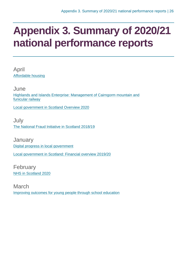## <span id="page-25-0"></span>**Appendix 3. Summary of 2020/21 national performance reports**

April [Affordable housing](https://www.audit-scotland.gov.uk/report/affordable-housing)

June [Highlands and Islands Enterprise: Management of Cairngorm mountain and](https://www.audit-scotland.gov.uk/report/highlands-and-islands-enterprise-management-of-cairngorm-mountain-and-funicular-railway)  [funicular railway](https://www.audit-scotland.gov.uk/report/highlands-and-islands-enterprise-management-of-cairngorm-mountain-and-funicular-railway)

[Local government in Scotland Overview 2020](https://www.audit-scotland.gov.uk/report/local-government-in-scotland-overview-2020)

July [The National Fraud Initiative in Scotland 2018/19](https://www.audit-scotland.gov.uk/report/the-national-fraud-initiative-in-scotland-201819)

**January** [Digital progress in local government](https://www.audit-scotland.gov.uk/report/digital-progress-in-local-government) [Local government in Scotland: Financial overview 2019/20](https://www.audit-scotland.gov.uk/report/local-government-in-scotland-financial-overview-201920)

February [NHS in Scotland 2020](https://www.audit-scotland.gov.uk/report/nhs-in-scotland-2020)

March [Improving outcomes for young people through school education](https://www.audit-scotland.gov.uk/report/improving-outcomes-for-young-people-through-school-education)